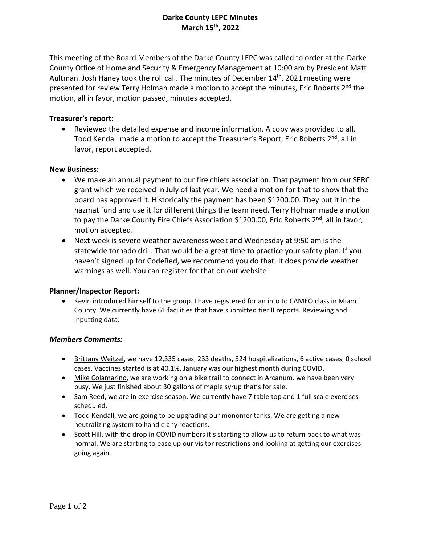# **Darke County LEPC Minutes March 15th, 2022**

This meeting of the Board Members of the Darke County LEPC was called to order at the Darke County Office of Homeland Security & Emergency Management at 10:00 am by President Matt Aultman. Josh Haney took the roll call. The minutes of December 14<sup>th</sup>, 2021 meeting were presented for review Terry Holman made a motion to accept the minutes, Eric Roberts 2<sup>nd</sup> the motion, all in favor, motion passed, minutes accepted.

## **Treasurer's report:**

 Reviewed the detailed expense and income information. A copy was provided to all. Todd Kendall made a motion to accept the Treasurer's Report, Eric Roberts 2<sup>nd</sup>, all in favor, report accepted.

### **New Business:**

- We make an annual payment to our fire chiefs association. That payment from our SERC grant which we received in July of last year. We need a motion for that to show that the board has approved it. Historically the payment has been \$1200.00. They put it in the hazmat fund and use it for different things the team need. Terry Holman made a motion to pay the Darke County Fire Chiefs Association \$1200.00, Eric Roberts 2<sup>nd</sup>, all in favor, motion accepted.
- Next week is severe weather awareness week and Wednesday at 9:50 am is the statewide tornado drill. That would be a great time to practice your safety plan. If you haven't signed up for CodeRed, we recommend you do that. It does provide weather warnings as well. You can register for that on our website

### **Planner/Inspector Report:**

 Kevin introduced himself to the group. I have registered for an into to CAMEO class in Miami County. We currently have 61 facilities that have submitted tier II reports. Reviewing and inputting data.

#### *Members Comments:*

- Brittany Weitzel, we have 12,335 cases, 233 deaths, 524 hospitalizations, 6 active cases, 0 school cases. Vaccines started is at 40.1%. January was our highest month during COVID.
- Mike Colamarino, we are working on a bike trail to connect in Arcanum. we have been very busy. We just finished about 30 gallons of maple syrup that's for sale.
- Sam Reed, we are in exercise season. We currently have 7 table top and 1 full scale exercises scheduled.
- Todd Kendall, we are going to be upgrading our monomer tanks. We are getting a new neutralizing system to handle any reactions.
- Scott Hill, with the drop in COVID numbers it's starting to allow us to return back to what was normal. We are starting to ease up our visitor restrictions and looking at getting our exercises going again.